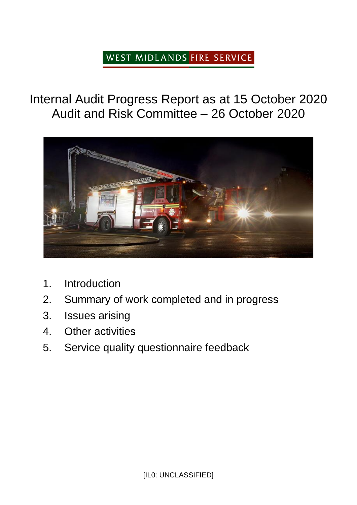## WEST MIDLANDS FIRE SERVICE

Internal Audit Progress Report as at 15 October 2020 Audit and Risk Committee – 26 October 2020



- 1. Introduction
- 2. Summary of work completed and in progress
- 3. Issues arising
- 4. Other activities
- 5. Service quality questionnaire feedback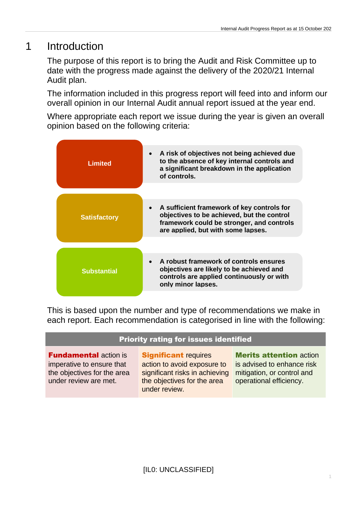## 1 Introduction

The purpose of this report is to bring the Audit and Risk Committee up to date with the progress made against the delivery of the 2020/21 Internal Audit plan.

The information included in this progress report will feed into and inform our overall opinion in our Internal Audit annual report issued at the year end.

Where appropriate each report we issue during the year is given an overall opinion based on the following criteria:

| <b>Limited</b>      | A risk of objectives not being achieved due<br>$\bullet$<br>to the absence of key internal controls and<br>a significant breakdown in the application<br>of controls.       |
|---------------------|-----------------------------------------------------------------------------------------------------------------------------------------------------------------------------|
| <b>Satisfactory</b> | A sufficient framework of key controls for<br>objectives to be achieved, but the control<br>framework could be stronger, and controls<br>are applied, but with some lapses. |
| <b>Substantial</b>  | A robust framework of controls ensures<br>objectives are likely to be achieved and<br>controls are applied continuously or with<br>only minor lapses.                       |

This is based upon the number and type of recommendations we make in each report. Each recommendation is categorised in line with the following:

#### Priority rating for issues identified

**Fundamental action is** imperative to ensure that the objectives for the area under review are met.

Significant requires action to avoid exposure to significant risks in achieving the objectives for the area under review.

Merits attention action is advised to enhance risk mitigation, or control and operational efficiency.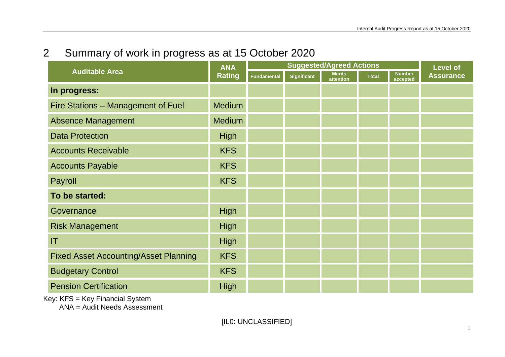# 2 Summary of work in progress as at 15 October 2020

| <b>Auditable Area</b>                        | <b>ANA</b><br><b>Rating</b> | <b>Suggested/Agreed Actions</b> |                    |                            |              |                           | <b>Level of</b>  |
|----------------------------------------------|-----------------------------|---------------------------------|--------------------|----------------------------|--------------|---------------------------|------------------|
|                                              |                             | <b>Fundamental</b>              | <b>Significant</b> | <b>Merits</b><br>attention | <b>Total</b> | <b>Number</b><br>accepted | <b>Assurance</b> |
| In progress:                                 |                             |                                 |                    |                            |              |                           |                  |
| Fire Stations - Management of Fuel           | <b>Medium</b>               |                                 |                    |                            |              |                           |                  |
| <b>Absence Management</b>                    | <b>Medium</b>               |                                 |                    |                            |              |                           |                  |
| <b>Data Protection</b>                       | <b>High</b>                 |                                 |                    |                            |              |                           |                  |
| <b>Accounts Receivable</b>                   | <b>KFS</b>                  |                                 |                    |                            |              |                           |                  |
| <b>Accounts Payable</b>                      | <b>KFS</b>                  |                                 |                    |                            |              |                           |                  |
| Payroll                                      | <b>KFS</b>                  |                                 |                    |                            |              |                           |                  |
| To be started:                               |                             |                                 |                    |                            |              |                           |                  |
| Governance                                   | High                        |                                 |                    |                            |              |                           |                  |
| <b>Risk Management</b>                       | <b>High</b>                 |                                 |                    |                            |              |                           |                  |
| IT                                           | High                        |                                 |                    |                            |              |                           |                  |
| <b>Fixed Asset Accounting/Asset Planning</b> | <b>KFS</b>                  |                                 |                    |                            |              |                           |                  |
| <b>Budgetary Control</b>                     | <b>KFS</b>                  |                                 |                    |                            |              |                           |                  |
| <b>Pension Certification</b>                 | <b>High</b>                 |                                 |                    |                            |              |                           |                  |

Key: KFS = Key Financial System

ANA = Audit Needs Assessment

[IL0: UNCLASSIFIED]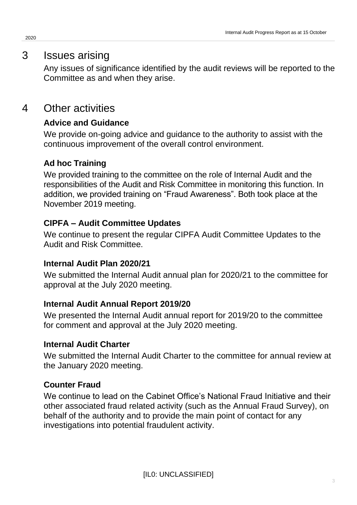## 3 Issues arising

Any issues of significance identified by the audit reviews will be reported to the Committee as and when they arise.

## 4 Other activities

## **Advice and Guidance**

We provide on-going advice and guidance to the authority to assist with the continuous improvement of the overall control environment.

## **Ad hoc Training**

We provided training to the committee on the role of Internal Audit and the responsibilities of the Audit and Risk Committee in monitoring this function. In addition, we provided training on "Fraud Awareness". Both took place at the November 2019 meeting.

### **CIPFA – Audit Committee Updates**

We continue to present the regular CIPFA Audit Committee Updates to the Audit and Risk Committee.

### **Internal Audit Plan 2020/21**

We submitted the Internal Audit annual plan for 2020/21 to the committee for approval at the July 2020 meeting.

### **Internal Audit Annual Report 2019/20**

We presented the Internal Audit annual report for 2019/20 to the committee for comment and approval at the July 2020 meeting.

### **Internal Audit Charter**

We submitted the Internal Audit Charter to the committee for annual review at the January 2020 meeting.

### **Counter Fraud**

We continue to lead on the Cabinet Office's National Fraud Initiative and their other associated fraud related activity (such as the Annual Fraud Survey), on behalf of the authority and to provide the main point of contact for any investigations into potential fraudulent activity.

2020